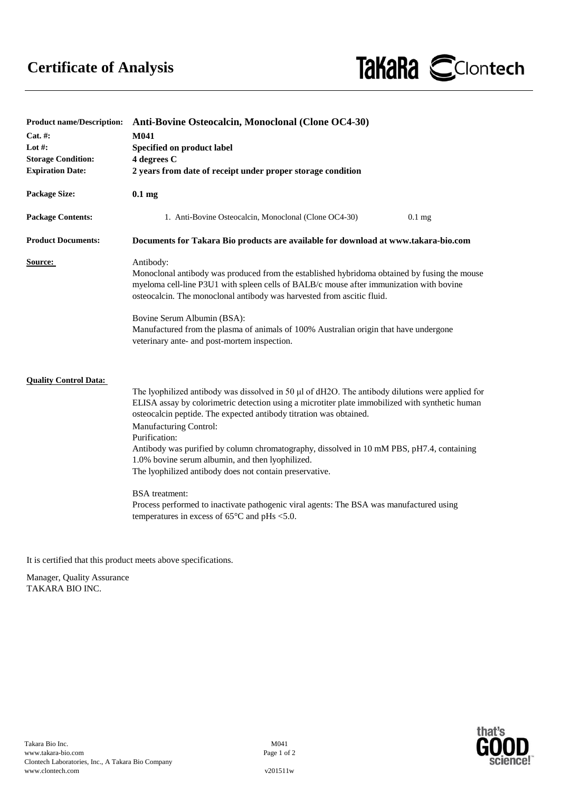

| <b>Product name/Description:</b> | Anti-Bovine Osteocalcin, Monoclonal (Clone OC4-30)                                                                                                                                                                                                                                                                                                                                                                                                                                                                                      |
|----------------------------------|-----------------------------------------------------------------------------------------------------------------------------------------------------------------------------------------------------------------------------------------------------------------------------------------------------------------------------------------------------------------------------------------------------------------------------------------------------------------------------------------------------------------------------------------|
| Cat. #:                          | M041                                                                                                                                                                                                                                                                                                                                                                                                                                                                                                                                    |
| Lot #:                           | Specified on product label                                                                                                                                                                                                                                                                                                                                                                                                                                                                                                              |
| <b>Storage Condition:</b>        | 4 degrees C                                                                                                                                                                                                                                                                                                                                                                                                                                                                                                                             |
| <b>Expiration Date:</b>          | 2 years from date of receipt under proper storage condition                                                                                                                                                                                                                                                                                                                                                                                                                                                                             |
| <b>Package Size:</b>             | 0.1 <sub>mg</sub>                                                                                                                                                                                                                                                                                                                                                                                                                                                                                                                       |
| <b>Package Contents:</b>         | 1. Anti-Bovine Osteocalcin, Monoclonal (Clone OC4-30)<br>$0.1$ mg                                                                                                                                                                                                                                                                                                                                                                                                                                                                       |
| <b>Product Documents:</b>        | Documents for Takara Bio products are available for download at www.takara-bio.com                                                                                                                                                                                                                                                                                                                                                                                                                                                      |
| Source:                          | Antibody:<br>Monoclonal antibody was produced from the established hybridoma obtained by fusing the mouse<br>myeloma cell-line P3U1 with spleen cells of BALB/c mouse after immunization with bovine<br>osteocalcin. The monoclonal antibody was harvested from ascitic fluid.                                                                                                                                                                                                                                                          |
|                                  | Bovine Serum Albumin (BSA):<br>Manufactured from the plasma of animals of 100% Australian origin that have undergone<br>veterinary ante- and post-mortem inspection.                                                                                                                                                                                                                                                                                                                                                                    |
| <b>Quality Control Data:</b>     | The lyophilized antibody was dissolved in 50 µl of dH2O. The antibody dilutions were applied for<br>ELISA assay by colorimetric detection using a microtiter plate immobilized with synthetic human<br>osteocalcin peptide. The expected antibody titration was obtained.<br><b>Manufacturing Control:</b><br>Purification:<br>Antibody was purified by column chromatography, dissolved in 10 mM PBS, pH7.4, containing<br>1.0% bovine serum albumin, and then lyophilized.<br>The lyophilized antibody does not contain preservative. |
|                                  | <b>BSA</b> treatment:<br>Process performed to inactivate pathogenic viral agents: The BSA was manufactured using<br>temperatures in excess of $65^{\circ}$ C and pHs <5.0.                                                                                                                                                                                                                                                                                                                                                              |

It is certified that this product meets above specifications.

Manager, Quality Assurance TAKARA BIO INC.

M041 Page 1 of 2